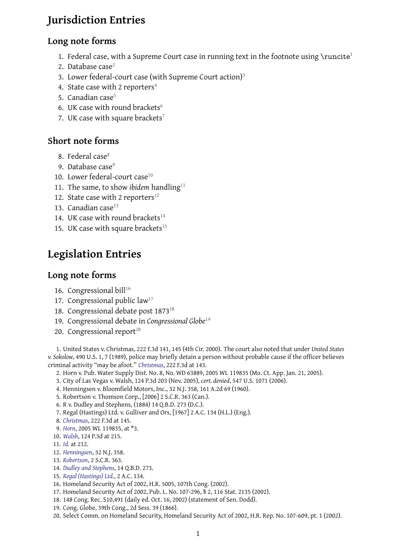#### **Long note forms**

- 1. Federal case, with a Supreme Court case in running text in the footnote using  $\rm\,$ runcite<sup>1</sup>
- 2. Database case $2$
- 3. Lower federal-court case (with Supreme Court action)<sup>3</sup>
- 4. State case with 2 reporters<sup>4</sup>
- 5. Canadian cas[e](#page-0-0)<sup>5</sup>
- 6. UK case with round brackets<sup>6</sup>
- 7. UK case with square brack[et](#page-0-1)s<sup>7</sup>

### **Short note forms**

- 8. Federal case<sup>8</sup>
- 9. Database case<sup>9</sup>
- 10. Lower federal-court case $10$
- 11. The same, t[o](#page-0-2) show *ibidem* handling<sup>11</sup>
- 12. State case wit[h](#page-0-3) 2 reporters<sup>12</sup>
- 13. Canadian case $^{13}$
- 14. UK case with round brackets<sup>14</sup>
- 15. UK case with square brack[ets](#page-0-4) $^{15}$

# **Legislation Entries**

#### **Long note forms**

- 16. Congressional bill $16$
- 17. Congressional public law<sup>17</sup>
- 18. Congressional debate post 1873<sup>18</sup>
- 19. Congressional de[bat](#page-0-5)e in *Congressional Globe*<sup>19</sup>
- 20. Congressional report<sup>20</sup>

1. United States v. Christmas, 222 F.3d 141[, 1](#page-0-6)45 (4th Cir. [20](#page-0-7)00). The court also noted that under *United States v. Sokolow*, 490 U.S. 1, 7 (1989), police may briefly detain a person without probable cause if the officer believes criminal activity "may be afoot." *[C](#page-0-8)hristmas*, 222 F.3d at 143.

- 2. Horn v. Pub. Water Supply Dist. No. 8, No. WD 63889, 2005 WL 119835 (Mo. Ct. App. Jan. 21, 2005).
- <span id="page-0-9"></span>3. City of Las Vegas v. Walsh, 124 P.3d 203 (Nev. 2005), *cert. denied*, 547 U.S. 1071 (2006).
- 4. Henningsen v. Bloomfield Motors, Inc., 32 N.J. 358, 161 A.2d 69 (1960).
- 5. Robertson v. Thomson Corp[., \[2006\] 2](#page-0-9) S.C.R. 363 (Can.).
- <span id="page-0-0"></span>6. R v. Dudley and Stephens, (1884) 14 Q.B.D. 273 (D.C.).
- <span id="page-0-10"></span>7. Regal (Hastings) Ltd. v. Gulliver and Ors, [1967] 2 A.C. 134 (H.L.) (Eng.).
- <span id="page-0-1"></span>8. *Christmas*, 222 F.3d at 145.
- <span id="page-0-11"></span>9. *Horn*, 2005 WL 119835, at \*3.
- <span id="page-0-12"></span>10. *Walsh*, 124 P.3d at 215.
- <span id="page-0-13"></span>11. *Id.* at 212.
- <span id="page-0-2"></span>12. *[Henningse](#page-0-9)n*, 32 N.J. 358.
- <span id="page-0-3"></span>13. *[Rober](#page-0-0)tson*, 2 S.C.R. 363.
- 14. *[Dudley](#page-0-10) and Stephens*, 14 Q.B.D. 273.
- 15. *[Re](#page-0-10)gal (Hastings) Ltd.*, 2 A.C. 134.
- <span id="page-0-4"></span>16. [Homeland](#page-0-1) Security Act of 2002, H.R. 5005, 107th Cong. (2002).
- 17. [Homeland](#page-0-11) Security Act of 2002, Pub. L. No. 107-296, § 2, 116 Stat. 2135 (2002).
- 18. [148 Cong. Rec. S10,4](#page-0-12)91 (daily ed. Oct. 16, 2002) (statement of Sen. Dodd).
- 19. [Cong. Globe, 39th C](#page-0-13)ong., 2d Sess. 39 (1866).
- <span id="page-0-8"></span><span id="page-0-7"></span><span id="page-0-6"></span><span id="page-0-5"></span>20. Select Comm. on Homeland Security, Homeland Security Act of 2002, H.R. Rep. No. 107-609, pt. 1 (2002).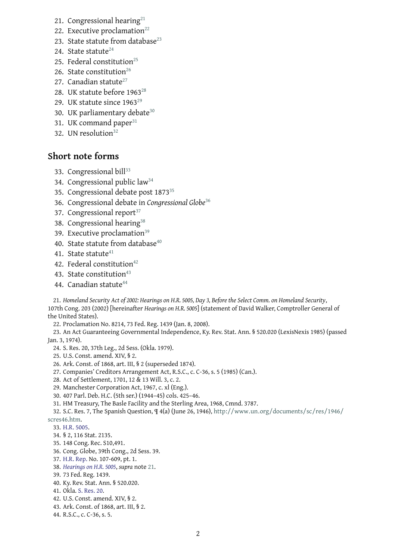- 22. Executive processes and 22. Executive processes and 22. Executive processes and 22. Executive processes and 23. State statute from database $^{23}$
- 24. State statute $^{24}$
- 25. Federal constitution<sup>25</sup>
- 26. State constitution<sup>26</sup>
- 27. Canadian st[atu](#page-1-0)te $^{27}$
- 28. UK statute before 1[963](#page-1-1)<sup>28</sup>
- 29. UK statute since 1[96](#page-1-2)3<sup>29</sup>
- 30. UK parliamentar[y](#page-1-3) debate<sup>30</sup>
- 31. UK command paper<sup>31</sup>
- 32. UN resolution $32$

#### **Short note for[ms](#page-1-4)**

- 33. Congressional bill<sup>33</sup>
- 34. Congressional public law<sup>34</sup>
- 35. Congressional debate post 1873<sup>35</sup>
- 36. Congressional de[bat](#page-1-5)e in *Congressional Globe*<sup>36</sup>
- 37. Congressional report<sup>37</sup>
- 38. Congressional hearing<sup>38</sup>
- 39. Executive proclamation<sup>39</sup>
- 40. S[ta](#page-1-6)te statute from database<sup>40</sup>
- 41. State statute $41$
- 42. Federal constitution<sup>42</sup>
- 43. State constitution<sup>43</sup>
- 44. Canadian st[atu](#page-1-7)te $44$

21. *Homeland Security Act of 20[02:](#page-1-8) Hearings on H.R. 5005, Day 3, Before the Select Comm. on Homeland Security*, 107th Cong. 203 (2002) [here[ina](#page-1-9)fter *Hearings on H.R. 5005*] (statement of David Walker, Comptroller General of the United States).

<span id="page-1-10"></span>22. Proclamation No. 8214, 73 Fed. Reg. 1439 (Jan. 8, 2008).

23. An Act Guaranteeing Governmental Independence, Ky. Rev. Stat. Ann. § 520.020 (LexisNexis 1985) (passed Jan. 3, 1974).

- 24. S. Res. 20, 37th Leg., 2d Sess. (Okla. 1979).
- 25. U.S. Const. amend. XIV, § 2.
- 26. Ark. Const. of 1868, art. III, § 2 (superseded 1874).
- 27. Companies' Creditors Arrangement Act, R.S.C., c. C-36, s. 5 (1985) (Can.).
- <span id="page-1-0"></span>28. Act of Settlement, 1701, 12 & 13 Will. 3, c. 2.
- <span id="page-1-1"></span>29. Manchester Corporation Act, 1967, c. xl (Eng.).
- <span id="page-1-2"></span>30. 407 Parl. Deb. H.C. (5th ser.) (1944–45) cols. 425–46.
- <span id="page-1-11"></span><span id="page-1-3"></span>31. HM Treasury, The Basle Facility and the Sterling Area, 1968, Cmnd. 3787.

32. S.C. Res. 7, The Spanish Question, ¶ 4(a) (June 26, 1946), http://www.un.org/documents/sc/res/1946/ scres46.htm.

- <span id="page-1-12"></span>33. H.R. 5005.
- 34. § 2, 116 Stat. 2135.
- <span id="page-1-4"></span>35. 148 Cong. Rec. S10,491.
- 36. [Cong. G](http://www.un.org/documents/sc/res/1946/scres46.htm)lobe, 39th Cong., 2d Sess. 39.
- <span id="page-1-5"></span>37. [H.R. Rep.](#page-0-5) No. 107-609, pt. 1.
- 38. *Hearings on H.R. 5005*, *supra* note 21.
- 39. 73 Fed. Reg. 1439.
- 40. Ky. Rev. Stat. Ann. § 520.020.
- <span id="page-1-6"></span>41. [Okla.](#page-0-8) S. Res. 20.
- 42. [U.S. Const. amend. X](#page-1-10)IV, § 2.
- 43. Ark. Const. of 1868, art. III, § 2.
- <span id="page-1-9"></span><span id="page-1-8"></span><span id="page-1-7"></span>44. R.S.C., c. C-36, s. 5.